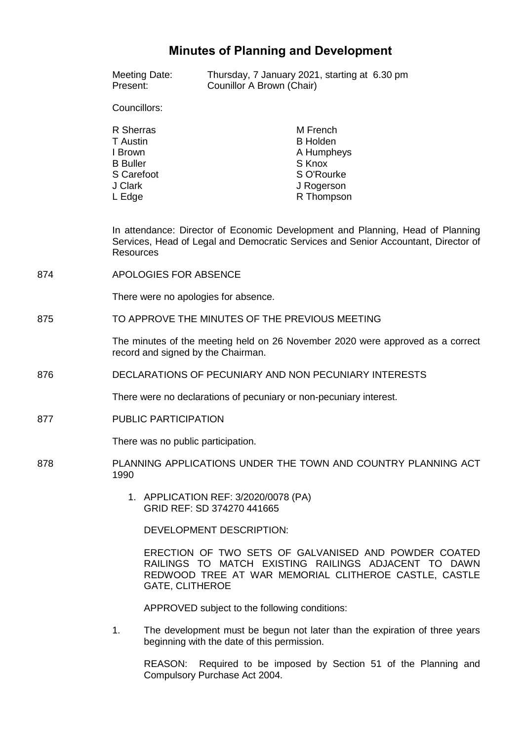# **Minutes of Planning and Development**

|     | Meeting Date:<br>Present:                                                                                                                                                                | Counillor A Brown (Chair)                                          | Thursday, 7 January 2021, starting at 6.30 pm                                                                                                                         |
|-----|------------------------------------------------------------------------------------------------------------------------------------------------------------------------------------------|--------------------------------------------------------------------|-----------------------------------------------------------------------------------------------------------------------------------------------------------------------|
|     | Councillors:                                                                                                                                                                             |                                                                    |                                                                                                                                                                       |
|     | R Sherras<br><b>T</b> Austin<br>I Brown<br><b>B</b> Buller<br>S Carefoot<br>J Clark<br>L Edge                                                                                            |                                                                    | M French<br><b>B</b> Holden<br>A Humpheys<br>S Knox<br>S O'Rourke<br>J Rogerson<br>R Thompson                                                                         |
|     | In attendance: Director of Economic Development and Planning, Head of Planning<br>Services, Head of Legal and Democratic Services and Senior Accountant, Director of<br><b>Resources</b> |                                                                    |                                                                                                                                                                       |
| 874 | APOLOGIES FOR ABSENCE                                                                                                                                                                    |                                                                    |                                                                                                                                                                       |
|     | There were no apologies for absence.                                                                                                                                                     |                                                                    |                                                                                                                                                                       |
| 875 | TO APPROVE THE MINUTES OF THE PREVIOUS MEETING                                                                                                                                           |                                                                    |                                                                                                                                                                       |
|     | The minutes of the meeting held on 26 November 2020 were approved as a correct<br>record and signed by the Chairman.                                                                     |                                                                    |                                                                                                                                                                       |
| 876 | DECLARATIONS OF PECUNIARY AND NON PECUNIARY INTERESTS                                                                                                                                    |                                                                    |                                                                                                                                                                       |
|     | There were no declarations of pecuniary or non-pecuniary interest.                                                                                                                       |                                                                    |                                                                                                                                                                       |
| 877 | PUBLIC PARTICIPATION                                                                                                                                                                     |                                                                    |                                                                                                                                                                       |
|     | There was no public participation.                                                                                                                                                       |                                                                    |                                                                                                                                                                       |
| 878 | PLANNING APPLICATIONS UNDER THE TOWN AND COUNTRY PLANNING ACT<br>1990                                                                                                                    |                                                                    |                                                                                                                                                                       |
|     |                                                                                                                                                                                          | 1. APPLICATION REF: 3/2020/0078 (PA)<br>GRID REF: SD 374270 441665 |                                                                                                                                                                       |
|     |                                                                                                                                                                                          | DEVELOPMENT DESCRIPTION:                                           |                                                                                                                                                                       |
|     | <b>GATE, CLITHEROE</b>                                                                                                                                                                   |                                                                    | ERECTION OF TWO SETS OF GALVANISED AND POWDER COATED<br>RAILINGS TO MATCH EXISTING RAILINGS ADJACENT TO DAWN<br>REDWOOD TREE AT WAR MEMORIAL CLITHEROE CASTLE, CASTLE |
|     |                                                                                                                                                                                          | APPROVED subject to the following conditions:                      |                                                                                                                                                                       |
|     |                                                                                                                                                                                          |                                                                    |                                                                                                                                                                       |

1. The development must be begun not later than the expiration of three years beginning with the date of this permission.

REASON: Required to be imposed by Section 51 of the Planning and Compulsory Purchase Act 2004.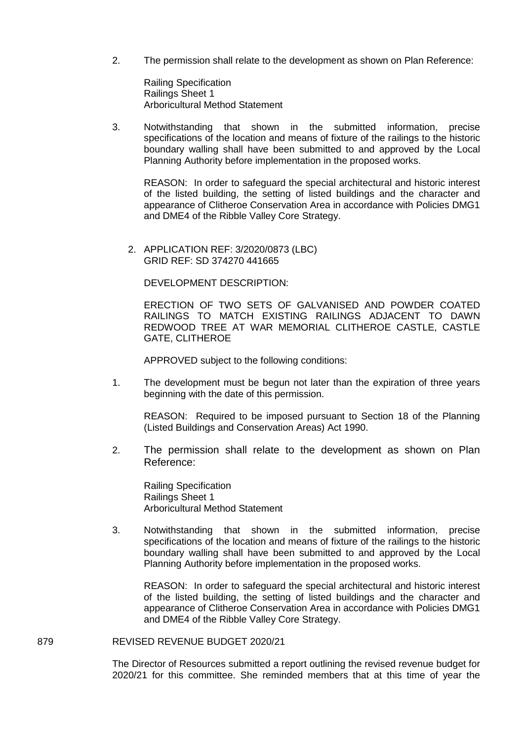2. The permission shall relate to the development as shown on Plan Reference:

Railing Specification Railings Sheet 1 Arboricultural Method Statement

3. Notwithstanding that shown in the submitted information, precise specifications of the location and means of fixture of the railings to the historic boundary walling shall have been submitted to and approved by the Local Planning Authority before implementation in the proposed works.

REASON: In order to safeguard the special architectural and historic interest of the listed building, the setting of listed buildings and the character and appearance of Clitheroe Conservation Area in accordance with Policies DMG1 and DME4 of the Ribble Valley Core Strategy.

2. APPLICATION REF: 3/2020/0873 (LBC) GRID REF: SD 374270 441665

DEVELOPMENT DESCRIPTION:

ERECTION OF TWO SETS OF GALVANISED AND POWDER COATED RAILINGS TO MATCH EXISTING RAILINGS ADJACENT TO DAWN REDWOOD TREE AT WAR MEMORIAL CLITHEROE CASTLE, CASTLE GATE, CLITHEROE

APPROVED subject to the following conditions:

1. The development must be begun not later than the expiration of three years beginning with the date of this permission.

REASON: Required to be imposed pursuant to Section 18 of the Planning (Listed Buildings and Conservation Areas) Act 1990.

2. The permission shall relate to the development as shown on Plan Reference:

Railing Specification Railings Sheet 1 Arboricultural Method Statement

3. Notwithstanding that shown in the submitted information, precise specifications of the location and means of fixture of the railings to the historic boundary walling shall have been submitted to and approved by the Local Planning Authority before implementation in the proposed works.

REASON: In order to safeguard the special architectural and historic interest of the listed building, the setting of listed buildings and the character and appearance of Clitheroe Conservation Area in accordance with Policies DMG1 and DME4 of the Ribble Valley Core Strategy.

## 879 REVISED REVENUE BUDGET 2020/21

The Director of Resources submitted a report outlining the revised revenue budget for 2020/21 for this committee. She reminded members that at this time of year the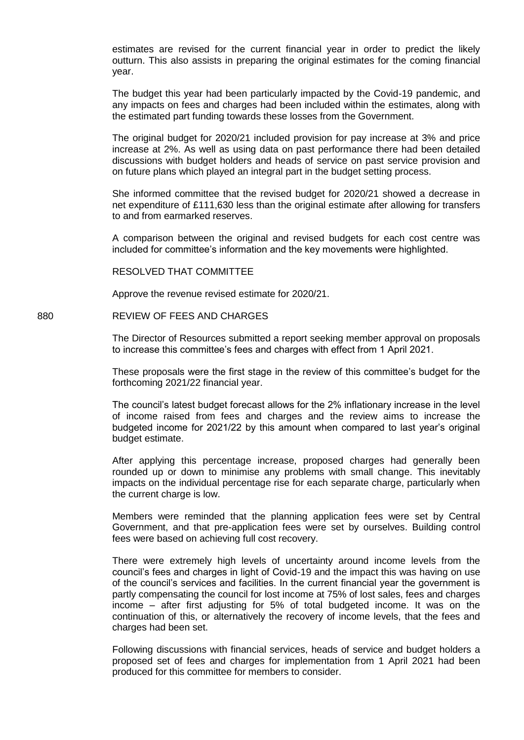estimates are revised for the current financial year in order to predict the likely outturn. This also assists in preparing the original estimates for the coming financial year.

The budget this year had been particularly impacted by the Covid-19 pandemic, and any impacts on fees and charges had been included within the estimates, along with the estimated part funding towards these losses from the Government.

The original budget for 2020/21 included provision for pay increase at 3% and price increase at 2%. As well as using data on past performance there had been detailed discussions with budget holders and heads of service on past service provision and on future plans which played an integral part in the budget setting process.

She informed committee that the revised budget for 2020/21 showed a decrease in net expenditure of £111,630 less than the original estimate after allowing for transfers to and from earmarked reserves.

A comparison between the original and revised budgets for each cost centre was included for committee's information and the key movements were highlighted.

RESOLVED THAT COMMITTEE

Approve the revenue revised estimate for 2020/21.

#### 880 REVIEW OF FEES AND CHARGES

The Director of Resources submitted a report seeking member approval on proposals to increase this committee's fees and charges with effect from 1 April 2021.

These proposals were the first stage in the review of this committee's budget for the forthcoming 2021/22 financial year.

The council's latest budget forecast allows for the 2% inflationary increase in the level of income raised from fees and charges and the review aims to increase the budgeted income for 2021/22 by this amount when compared to last year's original budget estimate.

After applying this percentage increase, proposed charges had generally been rounded up or down to minimise any problems with small change. This inevitably impacts on the individual percentage rise for each separate charge, particularly when the current charge is low.

Members were reminded that the planning application fees were set by Central Government, and that pre-application fees were set by ourselves. Building control fees were based on achieving full cost recovery.

There were extremely high levels of uncertainty around income levels from the council's fees and charges in light of Covid-19 and the impact this was having on use of the council's services and facilities. In the current financial year the government is partly compensating the council for lost income at 75% of lost sales, fees and charges income – after first adjusting for 5% of total budgeted income. It was on the continuation of this, or alternatively the recovery of income levels, that the fees and charges had been set.

Following discussions with financial services, heads of service and budget holders a proposed set of fees and charges for implementation from 1 April 2021 had been produced for this committee for members to consider.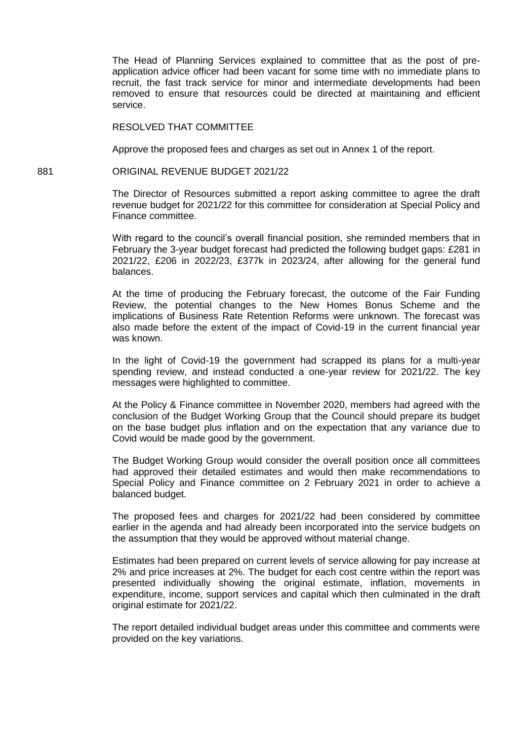The Head of Planning Services explained to committee that as the post of preapplication advice officer had been vacant for some time with no immediate plans to recruit, the fast track service for minor and intermediate developments had been removed to ensure that resources could be directed at maintaining and efficient service.

RESOLVED THAT COMMITTEE

Approve the proposed fees and charges as set out in Annex 1 of the report.

# 881 ORIGINAL REVENUE BUDGET 2021/22

The Director of Resources submitted a report asking committee to agree the draft revenue budget for 2021/22 for this committee for consideration at Special Policy and Finance committee.

With regard to the council's overall financial position, she reminded members that in February the 3-year budget forecast had predicted the following budget gaps: £281 in 2021/22, £206 in 2022/23, £377k in 2023/24, after allowing for the general fund balances.

At the time of producing the February forecast, the outcome of the Fair Funding Review, the potential changes to the New Homes Bonus Scheme and the implications of Business Rate Retention Reforms were unknown. The forecast was also made before the extent of the impact of Covid-19 in the current financial year was known.

In the light of Covid-19 the government had scrapped its plans for a multi-year spending review, and instead conducted a one-year review for 2021/22. The key messages were highlighted to committee.

At the Policy & Finance committee in November 2020, members had agreed with the conclusion of the Budget Working Group that the Council should prepare its budget on the base budget plus inflation and on the expectation that any variance due to Covid would be made good by the government.

The Budget Working Group would consider the overall position once all committees had approved their detailed estimates and would then make recommendations to Special Policy and Finance committee on 2 February 2021 in order to achieve a balanced budget.

The proposed fees and charges for 2021/22 had been considered by committee earlier in the agenda and had already been incorporated into the service budgets on the assumption that they would be approved without material change.

Estimates had been prepared on current levels of service allowing for pay increase at 2% and price increases at 2%. The budget for each cost centre within the report was presented individually showing the original estimate, inflation, movements in expenditure, income, support services and capital which then culminated in the draft original estimate for 2021/22.

The report detailed individual budget areas under this committee and comments were provided on the key variations.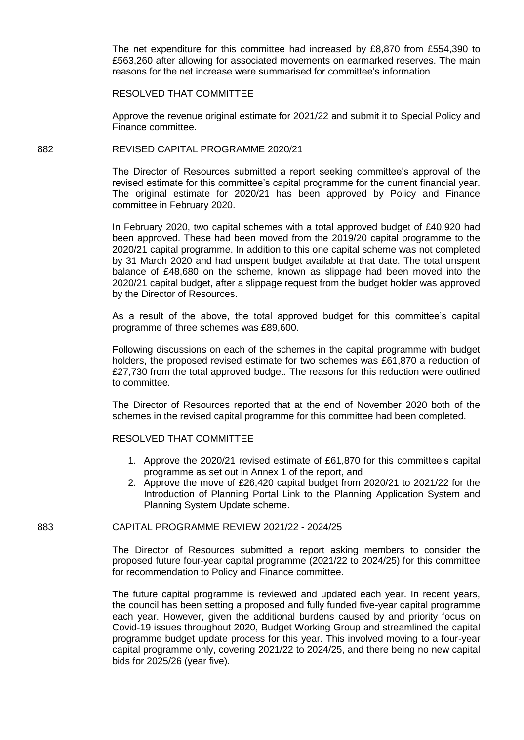The net expenditure for this committee had increased by £8,870 from £554,390 to £563,260 after allowing for associated movements on earmarked reserves. The main reasons for the net increase were summarised for committee's information.

## RESOLVED THAT COMMITTEE

Approve the revenue original estimate for 2021/22 and submit it to Special Policy and Finance committee.

## 882 REVISED CAPITAL PROGRAMME 2020/21

The Director of Resources submitted a report seeking committee's approval of the revised estimate for this committee's capital programme for the current financial year. The original estimate for 2020/21 has been approved by Policy and Finance committee in February 2020.

In February 2020, two capital schemes with a total approved budget of £40,920 had been approved. These had been moved from the 2019/20 capital programme to the 2020/21 capital programme. In addition to this one capital scheme was not completed by 31 March 2020 and had unspent budget available at that date. The total unspent balance of £48,680 on the scheme, known as slippage had been moved into the 2020/21 capital budget, after a slippage request from the budget holder was approved by the Director of Resources.

As a result of the above, the total approved budget for this committee's capital programme of three schemes was £89,600.

Following discussions on each of the schemes in the capital programme with budget holders, the proposed revised estimate for two schemes was £61,870 a reduction of £27,730 from the total approved budget. The reasons for this reduction were outlined to committee.

The Director of Resources reported that at the end of November 2020 both of the schemes in the revised capital programme for this committee had been completed.

# RESOLVED THAT COMMITTEE

- 1. Approve the 2020/21 revised estimate of £61,870 for this committee's capital programme as set out in Annex 1 of the report, and
- 2. Approve the move of £26,420 capital budget from 2020/21 to 2021/22 for the Introduction of Planning Portal Link to the Planning Application System and Planning System Update scheme.

#### 883 CAPITAL PROGRAMME REVIEW 2021/22 - 2024/25

The Director of Resources submitted a report asking members to consider the proposed future four-year capital programme (2021/22 to 2024/25) for this committee for recommendation to Policy and Finance committee.

The future capital programme is reviewed and updated each year. In recent years, the council has been setting a proposed and fully funded five-year capital programme each year. However, given the additional burdens caused by and priority focus on Covid-19 issues throughout 2020, Budget Working Group and streamlined the capital programme budget update process for this year. This involved moving to a four-year capital programme only, covering 2021/22 to 2024/25, and there being no new capital bids for 2025/26 (year five).